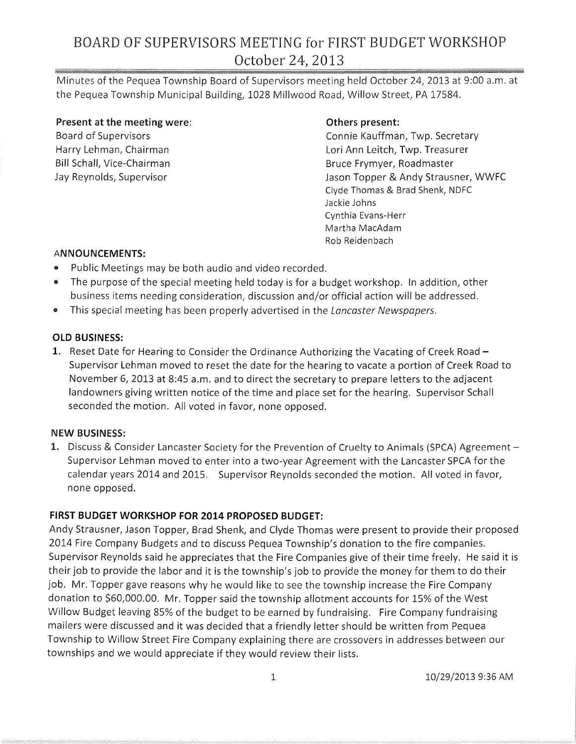## BOARD OF SUPERVISORS MEETING for FIRST BUDGET WORKSHOP October 24, 2013

Minutes of the Pequea Township Board of Supervisors meeting held October 24,2013 at 9:00 a.m. at the Pequea Township Municipal Building, 1028 Millwood Road, Willow Street, PA 17584.

**Present at the meeting were:**  Board of Supervisors Harry Lehman, Chairman Bill Schall, Vice-Chairman Jay Reynolds, Supervisor

#### **Others present:**

Connie Kauffman, Twp. Secretary Lori Ann Leitch, Twp. Treasurer Bruce Frymyer, Roadmaster Jason Topper & Andy Strausner, WWFC Clyde Thomas & Brad Shenk, NDFC Jackie Johns Cynthia Evans-Herr Martha MacAdam Rob Reidenbach

#### **ANNOUNCEMENTS:**

- Public Meetings may be both audio and video recorded.
- The purpose of the special meeting held today is for a budget workshop. In addition, other business items needing consideration, discussion and/or official action will be addressed.
- This special meeting has been properly advertised in the *Lancaster Newspapers*.

#### **OLD BUSINESS:**

1. Reset Date for Hearing to Consider the Ordinance Authorizing the Vacating of Creek Road -Supervisor Lehman moved to reset the date for the hearing to vacate a portion of Creek Road to November 6, 2013 at 8:45 a.m. and to direct the secretary to prepare letters to the adjacent landowners giving written notice of the time and place set for the hearing. Supervisor Schall seconded the motion. All voted in favor, none opposed.

#### **NEW BUSINESS:**

1. Discuss & Consider Lancaster Society for the Prevention of Cruelty to Animals (SPCA) Agreement -Supervisor Lehman moved to enter into a two-year Agreement with the Lancaster SPCA for the calendar years 2014 and 2015. Supervisor Reynolds seconded the motion. All voted in favor, none opposed.

### **FIRST BUDGET WORKSHOP FOR 2014 PROPOSED BUDGET:**

Andy Strausner, Jason Topper, Brad Shenk, and Clyde Thomas were present to provide their proposed 2014 Fire Company Budgets and to discuss Pequea Township's donation to the fire companies. Supervisor Reynolds said he appreciates that the Fire Companies give of their time freely. He said it is their job to provide the labor and it is the township's job to provide the money for them to do their job. Mr. Topper gave reasons why he would like to see the township increase the Fire Company donation to \$60,000.00. Mr. Topper said the township allotment accounts for 15% of the West Willow Budget leaving 85% of the budget to be earned by fundraising. Fire Company fundraising mailers were discussed and it was decided that a friendly letter should be written from Pequea Township to Willow Street Fire Company explaining there are crossovers in addresses between our townships and we would appreciate if they would review their lists.